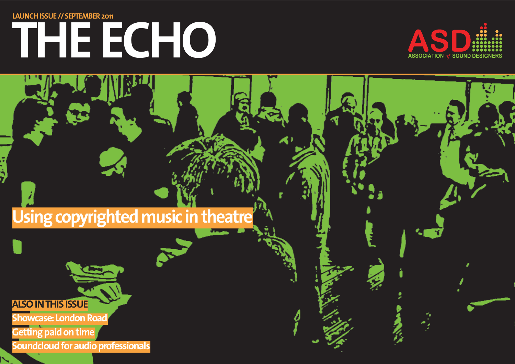## **THE ECHO LAUNCH ISSUE // SEPTEMBER 2011**



## **Using copyrighted music in theatre**

 $\sigma$ 

#### **ALSO IN THIS ISSUE**

**Showcase: London Road** 

**Getting paid on time Soundcloud for audio professionals**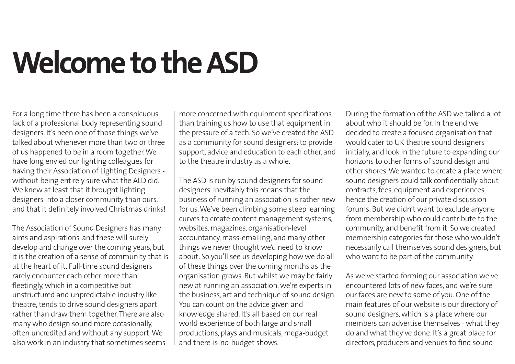## **Welcome to the ASD**

For a long time there has been a conspicuous lack of a professional body representing sound designers. It's been one of those things we've talked about whenever more than two or three of us happened to be in a room together. We have long envied our lighting colleagues for having their Association of Lighting Designers without being entirely sure what the ALD did. We knew at least that it brought lighting designers into a closer community than ours, and that it definitely involved Christmas drinks!

The Association of Sound Designers has many aims and aspirations, and these will surely develop and change over the coming years, but it is the creation of a sense of community that is at the heart of it. Full-time sound designers rarely encounter each other more than fleetingly, which in a competitive but unstructured and unpredictable industry like theatre, tends to drive sound designers apart rather than draw them together. There are also many who design sound more occasionally, often uncredited and without any support. We also work in an industry that sometimes seems

more concerned with equipment specifications than training us how to use that equipment in the pressure of a tech. So we've created the ASD as a community for sound designers: to provide support, advice and education to each other, and to the theatre industry as a whole.

The ASD is run by sound designers for sound designers. Inevitably this means that the business of running an association is rather new for us. We've been climbing some steep learning curves to create content management systems, websites, magazines, organisation-level accountancy, mass-emailing, and many other things we never thought we'd need to know about. So you'll see us developing how we do all of these things over the coming months as the organisation grows. But whilst we may be fairly new at running an association, we're experts in the business, art and technique of sound design. You can count on the advice given and knowledge shared. It's all based on our real world experience of both large and small productions, plays and musicals, mega-budget and there-is-no-budget shows.

During the formation of the ASD we talked a lot about who it should be for. In the end we decided to create a focused organisation that would cater to UK theatre sound designers initially, and look in the future to expanding our horizons to other forms of sound design and other shores. We wanted to create a place where sound designers could talk confidentially about contracts, fees, equipment and experiences, hence the creation of our private discussion forums. But we didn't want to exclude anyone from membership who could contribute to the community, and benefit from it. So we created membership categories for those who wouldn't necessarily call themselves sound designers, but who want to be part of the community.

As we've started forming our association we've encountered lots of new faces, and we're sure our faces are new to some of you. One of the main features of our website is our directory of sound designers, which is a place where our members can advertise themselves - what they do and what they've done. It's a great place for directors, producers and venues to find sound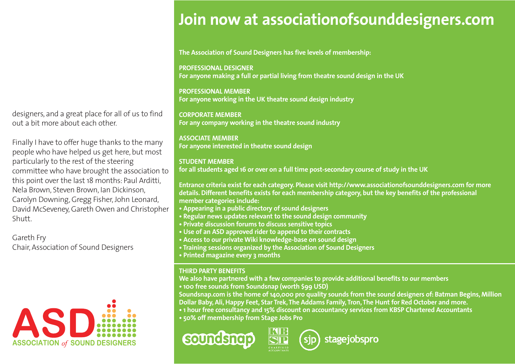designers, and a great place for all of us to find out a bit more about each other.

Finally I have to offer huge thanks to the many people who have helped us get here, but most particularly to the rest of the steering committee who have brought the association to this point over the last 18 months: Paul Arditti, Nela Brown, Steven Brown, Ian Dickinson, Carolyn Downing, Gregg Fisher, John Leonard, David McSeveney, Gareth Owen and Christopher Shutt.

Gareth Fry Chair, Association of Sound Designers



### **Join now at associationofsounddesigners.com**

**The Association of Sound Designers has five levels of membership:**

**PROFESSIONAL DESIGNER For anyone making a full or partial living from theatre sound design in the UK**

**PROFESSIONAL MEMBER For anyone working in the UK theatre sound design industry**

**CORPORATE MEMBER For any company working in the theatre sound industry**

**ASSOCIATE MEMBER For anyone interested in theatre sound design**

#### **STUDENT MEMBER**

**for all students aged 16 or over on a full time post-secondary course of study in the UK**

**Entrance criteria exist for each category. Please visit http://www.associationofsounddesigners.com for more details. Different benefits exists for each membership category, but the key benefits of the professional member categories include:**

- **Appearing in a public directory of sound designers**
- **Regular news updates relevant to the sound design community**
- **Private discussion forums to discuss sensitive topics**
- **Use of an ASD approved rider to append to their contracts**
- **Access to our private Wiki knowledge-base on sound design**
- **Training sessions organized by the Association of Sound Designers**
- **Printed magazine every 3 months**

#### **THIRD PARTY BENEFITS**

**We also have partnered with a few companies to provide additional benefits to our members • 100 free sounds from Soundsnap (worth \$99 USD)**

**Soundsnap.com is the home of 140,000 pro quality sounds from the sound designers of: Batman Begins, Million Dollar Baby, Ali, Happy Feet, Star Trek, The Addams Family, Tron, The Hunt for Red October and more.**

- **1 hour free consultancy and 15% discount on accountancy services from KBSP Chartered Accountants**
- **50% off membership from Stage Jobs Pro**





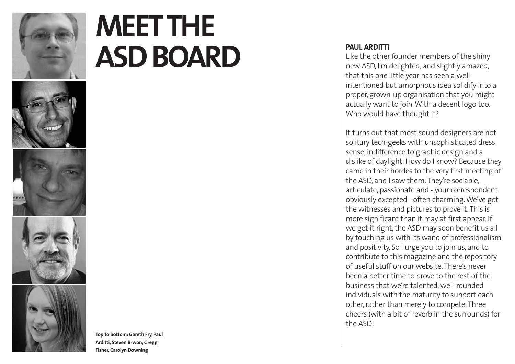

## **MEET THE ASD BOARD**

**Top to bottom: Gareth Fry, Paul Arditti, Steven Brwon, Gregg Fisher, Carolyn Downing**

#### **PAUL ARDITTI**

Like the other founder members of the shiny new ASD, I'm delighted, and slightly amazed, that this one little year has seen a wellintentioned but amorphous idea solidify into a proper, grown-up organisation that you might actually want to join. With a decent logo too. Who would have thought it?

It turns out that most sound designers are not solitary tech-geeks with unsophisticated dress sense, indifference to graphic design and a dislike of daylight. How do I know? Because they came in their hordes to the very first meeting of the ASD, and I saw them. They're sociable, articulate, passionate and - your correspondent obviously excepted - often charming. We've got the witnesses and pictures to prove it. This is more significant than it may at first appear. If we get it right, the ASD may soon benefit us all by touching us with its wand of professionalism and positivity. So I urge you to join us, and to contribute to this magazine and the repository of useful stuff on our website. There's never been a better time to prove to the rest of the business that we're talented, well-rounded individuals with the maturity to support each other, rather than merely to compete. Three cheers (with a bit of reverb in the surrounds) for the ASD!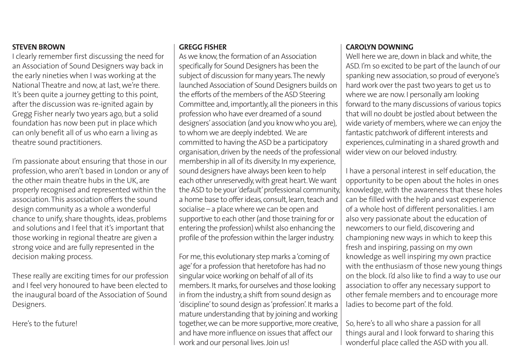#### **STEVEN BROWN**

I clearly remember first discussing the need for an Association of Sound Designers way back in the early nineties when I was working at the National Theatre and now, at last, we're there. It's been quite a journey getting to this point, after the discussion was re-ignited again by Gregg Fisher nearly two years ago, but a solid foundation has now been put in place which can only benefit all of us who earn a living as theatre sound practitioners.

I'm passionate about ensuring that those in our profession, who aren't based in London or any of the other main theatre hubs in the UK, are properly recognised and represented within the association. This association offers the sound design community as a whole a wonderful chance to unify, share thoughts, ideas, problems and solutions and I feel that it's important that those working in regional theatre are given a strong voice and are fully represented in the decision making process.

These really are exciting times for our profession and I feel very honoured to have been elected to the inaugural board of the Association of Sound Designers.

Here's to the future!

#### **GREGG FISHER**

As we know, the formation of an Association specifically for Sound Designers has been the subject of discussion for many years.The newly launched Association of Sound Designers builds on the efforts of the members of the ASD Steering Committee and, importantly, all the pioneers in this profession who have ever dreamed of a sound designers'association (and you know who you are), to whom we are deeply indebted. We are committed to having the ASD be a participatory organisation, driven by the needs of the professional membership in all of its diversity. In my experience, sound designers have always been keen to help each other unreservedly, with great heart.We want the ASD to be your 'default' professional community a home base to offer ideas, consult, learn, teach and socialise – a place where we can be open and supportive to each other (and those training for or entering the profession) whilst also enhancing the profile of the profession within the larger industry.

For me, this evolutionary step marks a 'coming of age'for a profession that heretofore has had no singular voice working on behalf of all of its members. It marks, for ourselves and those looking in from the industry, a shift from sound design as 'discipline'to sound design as 'profession'. It marks a mature understanding that by joining and working together, we can be more supportive, more creative, and have more influence on issues that affect our work and our personal lives. Join us!

#### **CAROLYN DOWNING**

Well here we are, down in black and white, the ASD. I'm so excited to be part of the launch of our spanking new association, so proud of everyone's hard work over the past two years to get us to where we are now. I personally am looking forward to the many discussions of various topics that will no doubt be jostled about between the wide variety of members, where we can enjoy the fantastic patchwork of different interests and experiences, culminating in a shared growth and wider view on our beloved industry.

I have a personal interest in self education, the opportunity to be open about the holes in ones knowledge, with the awareness that these holes can be filled with the help and vast experience of a whole host of different personalities. I am also very passionate about the education of newcomers to our field, discovering and championing new ways in which to keep this fresh and inspiring, passing on my own knowledge as well inspiring my own practice with the enthusiasm of those new young things on the block. I'd also like to find a way to use our association to offer any necessary support to other female members and to encourage more ladies to become part of the fold.

So, here's to all who share a passion for all things aural and I look forward to sharing this wonderful place called the ASD with you all.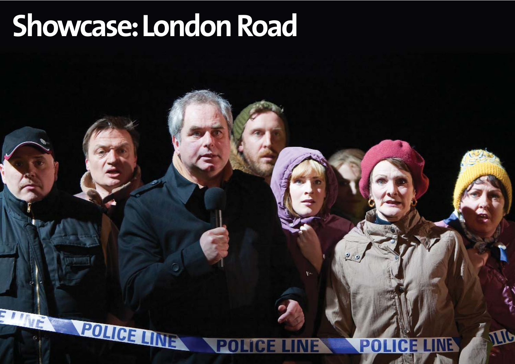## **Showcase:London Road**

POLICE LIN

## **POLICE LINE**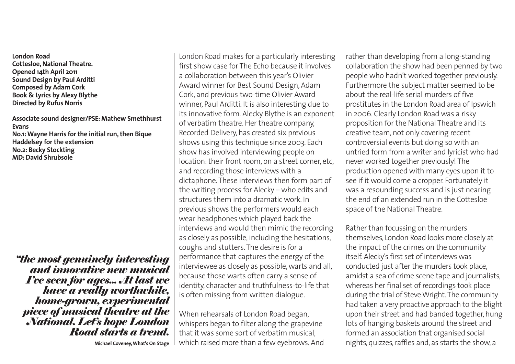**London Road Cottesloe, National Theatre. Opened 14th April 2011 Sound Design by Paul Arditti Composed by Adam Cork Book & Lyrics by Alexy Blythe Directed by Rufus Norris**

**Associate sound designer/PSE: Mathew Smethhurst Evans No.1: Wayne Harris for the initial run, then Bique Haddelsey for the extension No.2: Becky Stockting MD: David Shrubsole**

*"the most genuinely interesting and innovative new musical I've seen for ages... At last we have a really worthwhile, home-grown, experimental piece of musical theatre at the National. Let's hope London Road starts a trend.* **Michael Coveney, What's On Stage**

London Road makes for a particularly interesting first show case for The Echo because it involves a collaboration between this year's Olivier Award winner for Best Sound Design, Adam Cork, and previous two-time Olivier Award winner, Paul Arditti. It is also interesting due to its innovative form. Alecky Blythe is an exponent of verbatim theatre. Her theatre company, Recorded Delivery, has created six previous shows using this technique since 2003. Each show has involved interviewing people on location: their front room, on a street corner, etc, and recording those interviews with a dictaphone. These interviews then form part of the writing process for Alecky – who edits and structures them into a dramatic work. In previous shows the performers would each wear headphones which played back the interviews and would then mimic the recording as closely as possible, including the hesitations, coughs and stutters. The desire is for a performance that captures the energy of the interviewee as closely as possible, warts and all, because those warts often carry a sense of identity, character and truthfulness-to-life that is often missing from written dialogue.

When rehearsals of London Road began, whispers began to filter along the grapevine that it was some sort of verbatim musical, which raised more than a few eyebrows. And rather than developing from a long-standing collaboration the show had been penned by two people who hadn't worked together previously. Furthermore the subject matter seemed to be about the real-life serial murders of five prostitutes in the London Road area of Ipswich in 2006. Clearly London Road was a risky proposition for the National Theatre and its creative team, not only covering recent controversial events but doing so with an untried form from a writer and lyricist who had never worked together previously! The production opened with many eyes upon it to see if it would come a cropper. Fortunately it was a resounding success and is just nearing the end of an extended run in the Cottesloe space of the National Theatre.

Rather than focussing on the murders themselves, London Road looks more closely at the impact of the crimes on the community itself. Alecky's first set of interviews was conducted just after the murders took place, amidst a sea of crime scene tape and journalists, whereas her final set of recordings took place during the trial of Steve Wright.The community had taken a very proactive approach to the blight upon their street and had banded together, hung lots of hanging baskets around the street and formed an association that organised social nights, quizzes, raffles and, as starts the show, a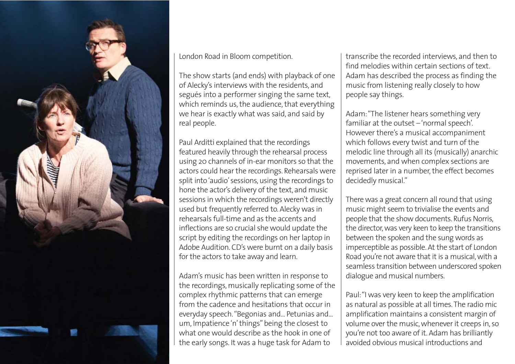

London Road in Bloom competition.

The show starts (and ends) with playback of one of Alecky's interviews with the residents, and segués into a performer singing the same text, which reminds us, the audience, that everything we hear is exactly what was said, and said by real people.

Paul Arditti explained that the recordings featured heavily through the rehearsal process using 20 channels of in-ear monitors so that the actors could hear the recordings. Rehearsals were split into 'audio' sessions, using the recordings to hone the actor's delivery of the text, and music sessions in which the recordings weren't directly used but frequently referred to. Alecky was in rehearsals full-time and as the accents and inflections are so crucial she would update the script by editing the recordings on her laptop in Adobe Audition. CD's were burnt on a daily basis for the actors to take away and learn.

Adam's music has been written in response to the recordings, musically replicating some of the complex rhythmic patterns that can emerge from the cadence and hesitations that occur in everyday speech."Begonias and... Petunias and... um, Impatience 'n' things" being the closest to what one would describe as the hook in one of the early songs. It was a huge task for Adam to

transcribe the recorded interviews, and then to find melodies within certain sections of text. Adam has described the process as finding the music from listening really closely to how people say things.

Adam:"The listener hears something very familiar at the outset – 'normal speech'. However there's a musical accompaniment which follows every twist and turn of the melodic line through all its (musically) anarchic movements, and when complex sections are reprised later in a number, the effect becomes decidedly musical."

There was a great concern all round that using music might seem to trivialise the events and people that the show documents. Rufus Norris, the director, was very keen to keep the transitions between the spoken and the sung words as imperceptible as possible. At the start of London Road you're not aware that it is a musical, with a seamless transition between underscored spoken dialogue and musical numbers.

Paul:"I was very keen to keep the amplification as natural as possible at all times.The radio mic amplification maintains a consistent margin of volume over the music, whenever it creeps in, so you're not too aware of it. Adam has brilliantly avoided obvious musical introductions and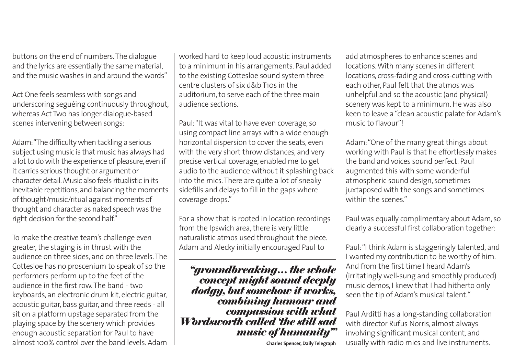buttons on the end of numbers.The dialogue and the lyrics are essentially the same material, and the music washes in and around the words"

Act One feels seamless with songs and underscoring seguéing continuously throughout, whereas Act Two has longer dialogue-based scenes intervening between songs:

Adam:"The difficulty when tackling a serious subject using music is that music has always had a lot to do with the experience of pleasure, even if it carries serious thought or argument or character detail. Music also feels ritualistic in its inevitable repetitions, and balancing the moments of thought/music/ritual against moments of thought and character as naked speech was the right decision for the second half."

To make the creative team's challenge even greater, the staging is in thrust with the audience on three sides, and on three levels. The Cottesloe has no proscenium to speak of so the performers perform up to the feet of the audience in the first row. The band - two keyboards, an electronic drum kit, electric guitar, acoustic guitar, bass guitar, and three reeds - all sit on a platform upstage separated from the playing space by the scenery which provides enough acoustic separation for Paul to have almost 100% control over the band levels. Adam worked hard to keep loud acoustic instruments to a minimum in his arrangements. Paul added to the existing Cottesloe sound system three centre clusters of six d&b T10s in the auditorium, to serve each of the three main audience sections.

Paul:"It was vital to have even coverage, so using compact line arrays with a wide enough horizontal dispersion to cover the seats, even with the very short throw distances, and very precise vertical coverage, enabled me to get audio to the audience without it splashing back into the mics. There are quite a lot of sneaky sidefills and delays to fill in the gaps where coverage drops."

For a show that is rooted in location recordings from the Ipswich area, there is very little naturalistic atmos used throughout the piece. Adam and Alecky initially encouraged Paul to

*"groundbreaking… the whole concept might sound deeply dodgy, but somehow it works, combining humour and compassion with what Wordsworth called 'the still sad music of humanity'"*

add atmospheres to enhance scenes and locations. With many scenes in different locations, cross-fading and cross-cutting with each other, Paul felt that the atmos was unhelpful and so the acoustic (and physical) scenery was kept to a minimum. He was also keen to leave a "clean acoustic palate for Adam's music to flavour"!

Adam:"One of the many great things about working with Paul is that he effortlessly makes the band and voices sound perfect. Paul augmented this with some wonderful atmospheric sound design, sometimes juxtaposed with the songs and sometimes within the scenes."

Paul was equally complimentary about Adam, so clearly a successful first collaboration together:

Paul:"I think Adam is staggeringly talented, and I wanted my contribution to be worthy of him. And from the first time I heard Adam's (irritatingly well-sung and smoothly produced) music demos, I knew that I had hitherto only seen the tip of Adam's musical talent."

Paul Arditti has a long-standing collaboration with director Rufus Norris, almost always involving significant musical content, and usually with radio mics and live instruments.

**Charles Spencer, Daily Telegraph**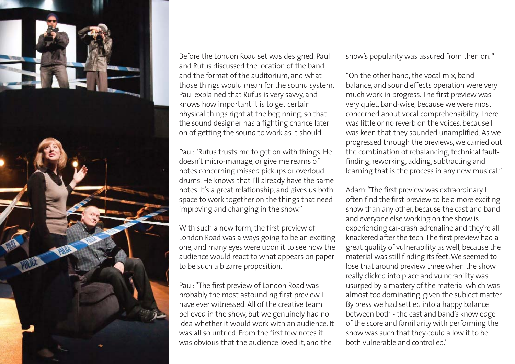

Before the London Road set was designed, Paul and Rufus discussed the location of the band, and the format of the auditorium, and what those things would mean for the sound system. Paul explained that Rufus is very savvy, and knows how important it is to get certain physical things right at the beginning, so that the sound designer has a fighting chance later on of getting the sound to work as it should.

Paul:"Rufus trusts me to get on with things. He doesn't micro-manage, or give me reams of notes concerning missed pickups or overloud drums. He knows that I'll already have the same notes. It's a great relationship, and gives us both space to work together on the things that need improving and changing in the show."

With such a new form, the first preview of London Road was always going to be an exciting one, and many eyes were upon it to see how the audience would react to what appears on paper to be such a bizarre proposition.

Paul:"The first preview of London Road was probably the most astounding first preview I have ever witnessed. All of the creative team believed in the show, but we genuinely had no idea whether it would work with an audience. It was all so untried. From the first few notes it was obvious that the audience loved it, and the

show's popularity was assured from then on."

"On the other hand, the vocal mix, band balance, and sound effects operation were very much work in progress. The first preview was very quiet, band-wise, because we were most concerned about vocal comprehensibility. There was little or no reverb on the voices, because I was keen that they sounded unamplified. As we progressed through the previews, we carried out the combination of rebalancing, technical faultfinding, reworking, adding, subtracting and learning that is the process in any new musical."

Adam:"The first preview was extraordinary. I often find the first preview to be a more exciting show than any other, because the cast and band and everyone else working on the show is experiencing car-crash adrenaline and they're all knackered after the tech.The first preview had a great quality of vulnerability as well, because the material was still finding its feet.We seemed to lose that around preview three when the show really clicked into place and vulnerability was usurped by a mastery of the material which was almost too dominating, given the subject matter. By press we had settled into a happy balance between both - the cast and band's knowledge of the score and familiarity with performing the show was such that they could allow it to be both vulnerable and controlled."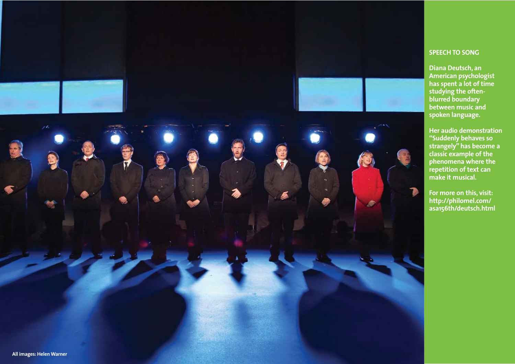



# **All images: Helen Warner**

#### **SPEECH TO SONG**

**Diana Deutsch, an American psychologist has spent a lot of time studying the oftenblurred boundary between music and spoken language.**

**Her audio demonstration "Suddenly behaves so strangely" has become a classic example of the phenomena where the repetition of text can make it musical.**

**For more on this, visit: http://philomel.com/ asa156th/deutsch.html**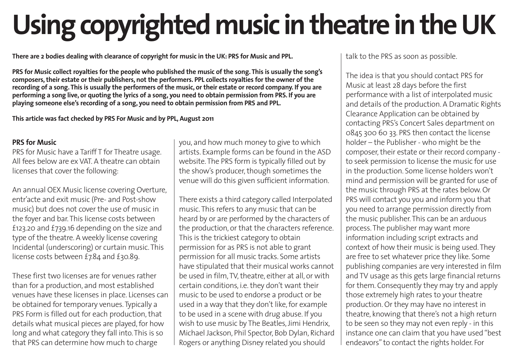## **Using copyrighted music in theatre in the UK**

**There are 2 bodies dealing with clearance of copyright for music in the UK: PRS for Music and PPL.**

**PRS for Music collect royalties for the people who published the music of the song. This is usually the song's composers, their estate or their publishers, not the performers. PPL collects royalties for the owner of the recording of a song. This is usually the performers of the music, or their estate or record company. If you are performing a song live, or quoting the lyrics of a song, you need to obtain permission from PRS. If you are playing someone else's recording of a song, you need to obtain permission from PRS and PPL.**

**This article was fact checked by PRS For Music and by PPL, August 2011** 

#### **PRS for Music**

PRS for Music have a Tariff T for Theatre usage. All fees below are ex VAT. A theatre can obtain licenses that cover the following:

An annual OEX Music license covering Overture, entr'acte and exit music (Pre- and Post-show music) but does not cover the use of music in the foyer and bar. This license costs between £123.20 and £739.16 depending on the size and type of the theatre. A weekly license covering Incidental (underscoring) or curtain music. This license costs between £7.84 and £30.89.

These first two licenses are for venues rather than for a production, and most established venues have these licenses in place. Licenses can be obtained for temporary venues. Typically a PRS Form is filled out for each production, that details what musical pieces are played, for how long and what category they fall into. This is so that PRS can determine how much to charge

you, and how much money to give to which artists. Example forms can be found in the ASD website. The PRS form is typically filled out by the show's producer, though sometimes the venue will do this given sufficient information.

There exists a third category called Interpolated music. This refers to any music that can be heard by or are performed by the characters of the production, or that the characters reference. This is the trickiest category to obtain permission for as PRS is not able to grant permission for all music tracks. Some artists have stipulated that their musical works cannot be used in film, TV, theatre, either at all, or with certain conditions, i.e. they don't want their music to be used to endorse a product or be used in a way that they don't like, for example to be used in a scene with drug abuse. If you wish to use music by The Beatles, Jimi Hendrix, Michael Jackson, Phil Spector, Bob Dylan, Richard Rogers or anything Disney related you should

talk to the PRS as soon as possible.

The idea is that you should contact PRS for Music at least 28 days before the first performance with a list of interpolated music and details of the production. A Dramatic Rights Clearance Application can be obtained by contacting PRS's Concert Sales department on 0845 300 60 33. PRS then contact the license holder – the Publisher - who might be the composer, their estate or their record company to seek permission to license the music for use in the production. Some license holders won't mind and permission will be granted for use of the music through PRS at the rates below. Or PRS will contact you you and inform you that you need to arrange permission directly from the music publisher. This can be an arduous process. The publisher may want more information including script extracts and context of how their music is being used. They are free to set whatever price they like. Some publishing companies are very interested in film and TV usage as this gets large financial returns for them. Consequently they may try and apply those extremely high rates to your theatre production. Or they may have no interest in theatre, knowing that there's not a high return to be seen so they may not even reply - in this instance one can claim that you have used "best endeavors" to contact the rights holder. For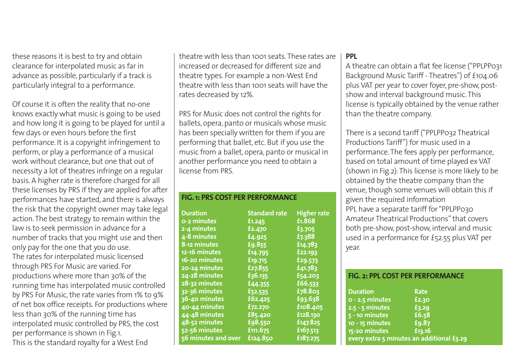these reasons it is best to try and obtain clearance for interpolated music as far in advance as possible, particularly if a track is particularly integral to a performance.

Of course it is often the reality that no-one knows exactly what music is going to be used and how long it is going to be played for until a few days or even hours before the first performance. It is a copyright infringement to perform, or play a performance of a musical work without clearance, but one that out of necessity a lot of theatres infringe on a regular basis. A higher rate is therefore charged for all these licenses by PRS if they are applied for after performances have started, and there is always the risk that the copyright owner may take legal action. The best strategy to remain within the law is to seek permission in advance for a number of tracks that you might use and then only pay for the one that you do use. The rates for interpolated music licensed through PRS For Music are varied. For productions where more than 30% of the running time has interpolated music controlled by PRS For Music, the rate varies from 1% to 9% of net box office receipts. For productions where less than 30% of the running time has interpolated music controlled by PRS, the cost per performance is shown in Fig.1. This is the standard royalty for a West End

theatre with less than 1001 seats. These rates are increased or decreased for different size and theatre types. For example a non-West End theatre with less than 1001 seats will have the rates decreased by 12%.

PRS for Music does not control the rights for ballets, opera, panto or musicals whose music has been specially written for them if you are performing that ballet, etc. But if you use the music from a ballet, opera, panto or musical in another performance you need to obtain a license from PRS.

**FIG. 1: PRS COST PER PERFORMANCE**

| <b>Duration</b>     | <b>Standard rate</b> | <b>Higher rate</b> |
|---------------------|----------------------|--------------------|
| 0-2 minutes         | £1.245               | £1.868             |
| 2-4 minutes         | £2.470               | £3.705             |
| 4-8 minutes         | £4.925               | £7.388             |
| 8-12 minutes        | £9.855               | £14.783            |
| 12-16 minutes       | £14.795              | £22.193            |
| 16-20 minutes       | £19.715              | £29.573            |
| 20-24 minutes       | £27.855              | £41.783            |
| 24-28 minutes       | £36.135              | £54.203            |
| 28-32 minutes       | £44.355              | £66.533            |
| 32-36 minutes       | £52.535              | £78.803            |
| 36-40 minutes       | £62.425              | £93.638            |
| 40-44 minutes       | £72.270              | £108.405           |
| 44-48 minutes       | £85.420              | £128.130           |
| 48-52 minutes       | £98.550              | £147.825           |
| 52-56 minutes       | £111.675             | £167.513           |
| 56 minutes and over | £124.850             | £187.275           |

#### **PPL**

A theatre can obtain a flat fee license ("PPLPP031 Background Music Tariff - Theatres") of £104.06 plus VAT per year to cover foyer, pre-show, postshow and interval background music. This license is typically obtained by the venue rather than the theatre company.

There is a second tariff ("PPLPP032 Theatrical Productions Tariff") for music used in a performance. The fees apply per performance, based on total amount of time played ex VAT (shown in Fig.2):This license is more likely to be obtained by the theatre company than the venue, though some venues will obtain this if given the required information PPL have a separate tariff for "PPLPP030 Amateur Theatrical Productions" that covers both pre-show, post-show, interval and music used in a performance for £52.55 plus VAT per year.

#### **FIG. 2: PPL COST PER PERFORMANCE**

|                                           | <b>Duration</b>   | Rate   |
|-------------------------------------------|-------------------|--------|
|                                           | $0 - 2.5$ minutes | £2.30  |
|                                           | $2.5 - 5$ minutes | £3.29  |
|                                           | $5 - 10$ minutes  | £6.58  |
|                                           | 10 - 15 minutes   | £9.87  |
|                                           | 15-20 minutes     | £13.16 |
| every extra 5 minutes an additional £3.29 |                   |        |
|                                           |                   |        |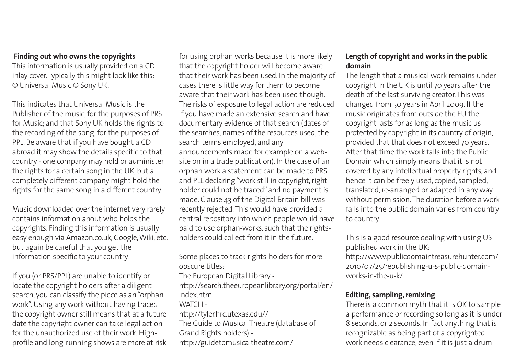#### **Finding out who owns the copyrights**

This information is usually provided on a CD inlay cover. Typically this might look like this: © Universal Music © Sony UK.

This indicates that Universal Music is the Publisher of the music, for the purposes of PRS for Music; and that Sony UK holds the rights to the recording of the song, for the purposes of PPL. Be aware that if you have bought a CD abroad it may show the details specific to that country - one company may hold or administer the rights for a certain song in the UK, but a completely different company might hold the rights for the same song in a different country.

Music downloaded over the internet very rarely contains information about who holds the copyrights. Finding this information is usually easy enough via Amazon.co.uk, Google,Wiki, etc. but again be careful that you get the information specific to your country.

If you (or PRS/PPL) are unable to identify or locate the copyright holders after a diligent search, you can classify the piece as an "orphan work". Using any work without having traced the copyright owner still means that at a future date the copyright owner can take legal action for the unauthorized use of their work. Highprofile and long-running shows are more at risk for using orphan works because it is more likely that the copyright holder will become aware that their work has been used. In the majority of cases there is little way for them to become aware that their work has been used though. The risks of exposure to legal action are reduced if you have made an extensive search and have documentary evidence of that search (dates of the searches, names of the resources used, the search terms employed, and any announcements made for example on a website on in a trade publication). In the case of an orphan work a statement can be made to PRS and PLL declaring "work still in copyright, rightholder could not be traced" and no payment is made. Clause 43 of the Digital Britain bill was recently rejected. This would have provided a central repository into which people would have paid to use orphan-works, such that the rightsholders could collect from it in the future.

Some places to track rights-holders for more obscure titles: The European Digital Library -

http://search.theeuropeanlibrary.org/portal/en/ index.html

- 
- WATCH-

http://tyler.hrc.utexas.edu// The Guide to Musical Theatre (database of

- Grand Rights holders) -
- http://guidetomusicaltheatre.com/

#### **Length of copyright and works in the public domain**

The length that a musical work remains under copyright in the UK is until 70 years after the death of the last surviving creator. This was changed from 50 years in April 2009. If the music originates from outside the EU the copyright lasts for as long as the music us protected by copyright in its country of origin, provided that that does not exceed 70 years. After that time the work falls into the Public Domain which simply means that it is not covered by any intellectual property rights, and hence it can be freely used, copied, sampled, translated, re-arranged or adapted in any way without permission. The duration before a work falls into the public domain varies from country to country.

This is a good resource dealing with using US published work in the UK: http://www.publicdomaintreasurehunter.com/ 2010/07/25/republishing-u-s-public-domainworks-in-the-u-k/

#### **Editing, sampling, remixing**

There is a common myth that it is OK to sample a performance or recording so long as it is under 8 seconds, or 2 seconds. In fact anything that is recognizable as being part of a copyrighted work needs clearance, even if it is just a drum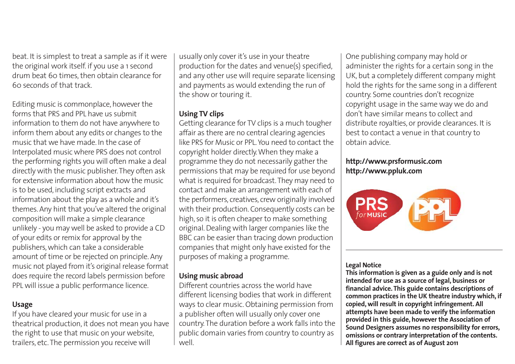beat. It is simplest to treat a sample as if it were the original work itself. if you use a 1 second drum beat 60 times, then obtain clearance for 60 seconds of that track.

Editing music is commonplace, however the forms that PRS and PPL have us submit information to them do not have anywhere to inform them about any edits or changes to the music that we have made. In the case of Interpolated music where PRS does not control the performing rights you will often make a deal directly with the music publisher.They often ask for extensive information about how the music is to be used, including script extracts and information about the play as a whole and it's themes. Any hint that you've altered the original composition will make a simple clearance unlikely - you may well be asked to provide a CD of your edits or remix for approval by the publishers, which can take a considerable amount of time or be rejected on principle. Any music not played from it's original release format does require the record labels permission before PPL will issue a public performance licence.

#### **Usage**

If you have cleared your music for use in a theatrical production, it does not mean you have the right to use that music on your website, trailers, etc. The permission you receive will

usually only cover it's use in your theatre production for the dates and venue(s) specified, and any other use will require separate licensing and payments as would extending the run of the show or touring it.

#### **Using TV clips**

Getting clearance for TV clips is a much tougher affair as there are no central clearing agencies like PRS for Music or PPL. You need to contact the copyright holder directly.When they make a programme they do not necessarily gather the permissions that may be required for use beyond what is required for broadcast.They may need to contact and make an arrangement with each of the performers, creatives, crew originally involved with their production. Consequently costs can be high, so it is often cheaper to make something original. Dealing with larger companies like the BBC can be easier than tracing down production companies that might only have existed for the purposes of making a programme.

#### **Using music abroad**

Different countries across the world have different licensing bodies that work in different ways to clear music. Obtaining permission from a publisher often will usually only cover one country. The duration before a work falls into the public domain varies from country to country as well.

One publishing company may hold or administer the rights for a certain song in the UK, but a completely different company might hold the rights for the same song in a different country. Some countries don't recognize copyright usage in the same way we do and don't have similar means to collect and distribute royalties, or provide clearances. It is best to contact a venue in that country to obtain advice.

#### **http://www.prsformusic.com http://www.ppluk.com**



#### **Legal Notice**

**This information is given as a guide only and is not intended for use as a source of legal, business or financial advice. This guide contains descriptions of common practices in the UK theatre industry which, if copied, will result in copyright infringement. All attempts have been made to verify the information provided in this guide, however the Association of Sound Designers assumes no responsibility for errors, omissions or contrary interpretation of the contents. All figures are correct as of August 2011**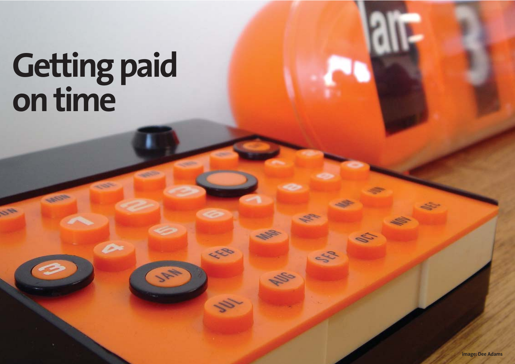# **Getting paid on time**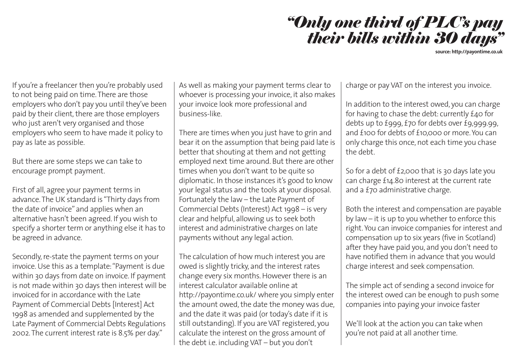

**source: http://payontime.co.uk**

If you're a freelancer then you're probably used to not being paid on time. There are those employers who don't pay you until they've been paid by their client, there are those employers who just aren't very organised and those employers who seem to have made it policy to pay as late as possible.

But there are some steps we can take to encourage prompt payment.

First of all, agree your payment terms in advance. The UK standard is "Thirty days from the date of invoice" and applies when an alternative hasn't been agreed. If you wish to specify a shorter term or anything else it has to be agreed in advance.

Secondly, re-state the payment terms on your invoice. Use this as a template:"Payment is due within 30 days from date on invoice. If payment is not made within 30 days then interest will be invoiced for in accordance with the Late Payment of Commercial Debts [Interest] Act 1998 as amended and supplemented by the Late Payment of Commercial Debts Regulations 2002. The current interest rate is 8.5% per day."

As well as making your payment terms clear to whoever is processing your invoice, it also makes your invoice look more professional and business-like.

There are times when you just have to grin and bear it on the assumption that being paid late is better that shouting at them and not getting employed next time around. But there are other times when you don't want to be quite so diplomatic. In those instances it's good to know your legal status and the tools at your disposal. Fortunately the law – the Late Payment of Commercial Debts (Interest) Act 1998 – is very clear and helpful, allowing us to seek both interest and administrative charges on late payments without any legal action.

The calculation of how much interest you are owed is slightly tricky, and the interest rates change every six months. However there is an interest calculator available online at http://payontime.co.uk/ where you simply enter the amount owed, the date the money was due, and the date it was paid (or today's date if it is still outstanding). If you are VAT registered, you calculate the interest on the gross amount of the debt i.e. including VAT – but you don't

charge or pay VAT on the interest you invoice.

In addition to the interest owed, you can charge for having to chase the debt: currently £40 for debts up to £999, £70 for debts over £9,999.99, and £100 for debts of £10,000 or more. You can only charge this once, not each time you chase the debt.

So for a debt of £2,000 that is 30 days late you can charge £14.80 interest at the current rate and a £70 administrative charge.

Both the interest and compensation are payable by law – it is up to you whether to enforce this right. You can invoice companies for interest and compensation up to six years (five in Scotland) after they have paid you, and you don't need to have notified them in advance that you would charge interest and seek compensation.

The simple act of sending a second invoice for the interest owed can be enough to push some companies into paying your invoice faster

We'll look at the action you can take when you're not paid at all another time.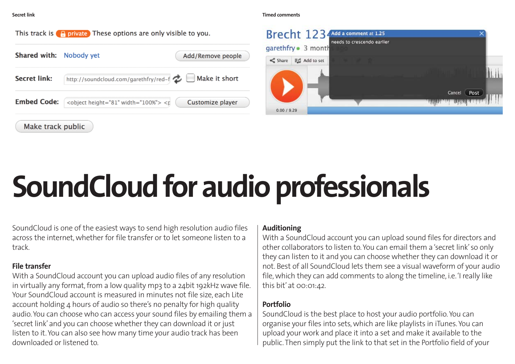**Secret link Timed comments**





# **SoundCloud for audio professionals**

SoundCloud is one of the easiest ways to send high resolution audio files across the internet, whether for file transfer or to let someone listen to a track.

#### **File transfer**

With a SoundCloud account you can upload audio files of any resolution in virtually any format, from a low quality mp3 to a 24bit 192kHz wave file. Your SoundCloud account is measured in minutes not file size, each Lite account holding 4 hours of audio so there's no penalty for high quality audio. You can choose who can access your sound files by emailing them a 'secret link' and you can choose whether they can download it or just listen to it. You can also see how many time your audio track has been downloaded or listened to.

#### **Auditioning**

With a SoundCloud account you can upload sound files for directors and other collaborators to listen to. You can email them a 'secret link' so only they can listen to it and you can choose whether they can download it or not. Best of all SoundCloud lets them see a visual waveform of your audio file, which they can add comments to along the timeline, i.e.'I really like this bit' at 00:01:42.

#### **Portfolio**

SoundCloud is the best place to host your audio portfolio. You can organise your files into sets, which are like playlists in iTunes. You can upload your work and place it into a set and make it available to the public. Then simply put the link to that set in the Portfolio field of your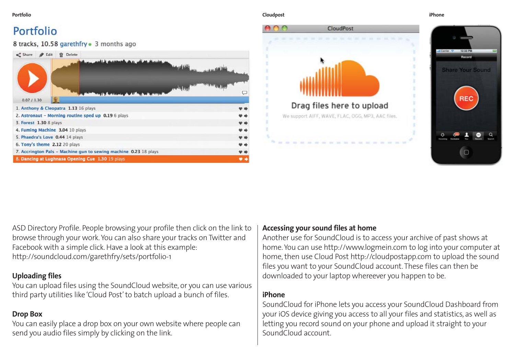#### Portfolio

8 tracks, 10.58 garethfry . 3 months ago

| <<<<<<<<<<<<<<<<<<<<<<br>Delete<br>Edit<br>曾                     |  |
|------------------------------------------------------------------|--|
|                                                                  |  |
| 0.07/1.30                                                        |  |
| 1. Anthony & Cleopatra 1.13 16 plays                             |  |
| 2. Astronaut - Morning routine sped up 0.19 6 plays              |  |
| 3. Forest 1.30 8 plays                                           |  |
| 4. Fuming Machine 3.04 10 plays                                  |  |
| 5. Phaedra's Love 0.44 14 plays                                  |  |
| 6. Tony's theme 2.12 20 plays                                    |  |
| 7. Accrington Pals - Machine gun to sewing machine 0.23 18 plays |  |
| 8. Dancing at Lughnasa Opening Cue 1.30 19 plays                 |  |

#### **Portfolio Cloudpost iPhone**



ASD Directory Profile. People browsing your profile then click on the link to browse through your work. You can also share your tracks on Twitter and Facebook with a simple click. Have a look at this example: http://soundcloud.com/garethfry/sets/portfolio-1

#### **Uploading files**

You can upload files using the SoundCloud website, or you can use various third party utilities like 'Cloud Post' to batch upload a bunch of files.

#### **Drop Box**

You can easily place a drop box on your own website where people can send you audio files simply by clicking on the link.

#### **Accessing your sound files at home**

Another use for SoundCloud is to access your archive of past shows at home. You can use http://www.logmein.com to log into your computer at home, then use Cloud Post http://cloudpostapp.com to upload the sound files you want to your SoundCloud account. These files can then be downloaded to your laptop whereever you happen to be.

#### **iPhone**

SoundCloud for iPhone lets you access your SoundCloud Dashboard from your iOS device giving you access to all your files and statistics, as well as letting you record sound on your phone and upload it straight to your SoundCloud account.